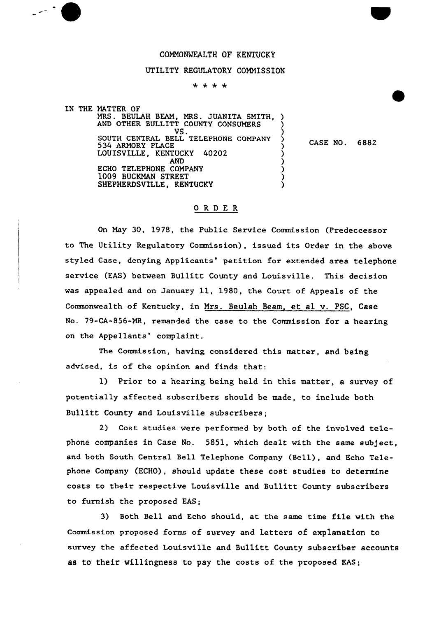## COMMONWEALTH OF KENTUCKY

## UTILITY REGULATORY COMMISSION

\* \* \* \*

IN THE MATTER OF MRS. BEULAH BEAM, MRS. JUANITA SMITH, ) AND OTHER BULLITT COUNTY CONSUMERS ) VS.<br>SOUTH CENTRAL BELL TELEPHONE COMPANY ) 534 ARMORY PLACE ) LOUISVILLE, KENTUCKY 40202  $AND$  ) ( ECHO TELEPHONE COMPANY (1999) 1009 BUCKMAN STREET SHEPHERDSVILLE, KENTUCKY CASE NO. 6882

## ORDER

On May 30, 1978, the Public Service Commission (Predeccessor to The Utility Regulatory Commission), issued its Order in the above styled Case, denying Applicants' petition for extended area telephone service (EAS) between Bullitt County and Louisville. This decision was appealed and on January 11, 1980, the Court of Appeals of the Commonwealth of Kentucky, in Mrs. Beulah Beam, et al v. PSC, Case No. 79-CA-856-MR, remanded the case to the Commission for a hearing on the Appellants' complaint.

The Commission, having considered this matter, and being advised, is of the opinion and finds that:

1) Prior to a hearing being held in this matter, a survey of potentially affected subscribers should be made, to include both Bullitt County and Louisville subscribers;

2) Cost studies were performed by both of the involved telephone companies in Case No. 5851, which dealt with the same subject, and both South Central Bell Telephone Company (Bell), and Echo Telephone Company {ECHO), should update these cost studies to determine costs to their respective Louisville and Bullitt County subscribers to furnish the proposed EAS;

3) Both Bell and Echo should, at the same time file with the Commission proposed forms of survey and letters of explanation to survey the affected Louisville and Bullitt County subscriber accounts as to their willingness to pay the costs of the proposed EAS;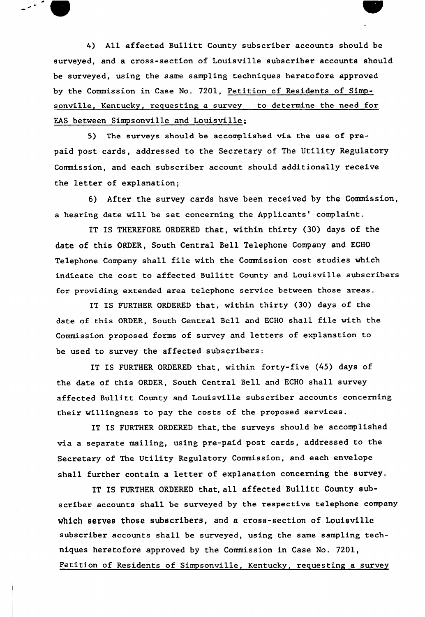

4) All affected Bullitt County subscriber accounts should be surveyed, and a cross-section of Louisville subscriber accounts should be surveyed, using the same sampling techniques heretofore approved by the Commission in Case No. 7201, Petition of Residents of Simpsonville, Kentucky, requesting a survey to determine the need for EAS between Simpsonville and Louisville;

5) The surveys should be accomplished via the use of prepaid post cards, addressed to the Secretary of The Utility Regulatory Commission, and each subscriber account should additionally receive the letter of explanation;

6} After the survey cards have been received by the Commission, a hearing date will be set concerning the Applicants'omplaint.

IT IS THEREFORE ORDERED that, within thirty (30) days of the date of this ORDER, South Central Bell Telephone Company and ECHO Telephone Company shall file with the Commission cost studies which indicate the cost to affected Bullitt County and Louisville subscribers for providing extended area telephone service between those areas.

IT IS FURTHER ORDERED that, within thirty (30) days of the date of this ORDER, South Central Bell and ECHO shall file with the Commission proposed forms of survey and letters of explanation to be used to survey the affected subscribers:

IT IS FURTHER ORDERED that, within forty-five (45) days of the date of this ORDER, South Central Bell and ECHO shall survey affected Bullitt County and Louisville subscriber accounts concerning their willingness to pay the costs of the proposed services.

IT IS FURTHER ORDERED that, the surveys should be accomplished via a separate mailing, using pre-paid post cards, addressed to the Secretary of The Utility Regulatory Commission, and each envelope shall further contain a letter of explanation concerning the survey.

IT IS FURTHER ORDERED that, all affected Bullitt County subscriber accounts shall be surveyed by the respective telephone company which serves those subscribers, and a cross-section of Louisville subscriber accounts shall be surveyed, using the same sampling techniques heretofore approved by the Commission in Case No. 7201, Petition of Residents of Simpsonville, Kentucky, requesting a survey